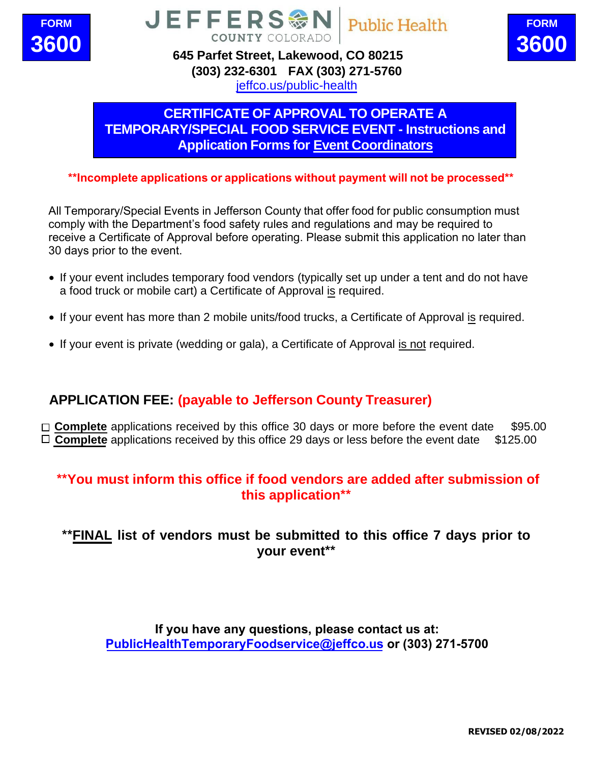



**645 Parfet Street, Lakewood, CO 80215 (303) 232-6301 [FAX \(303\) 2](http://www.jeffco.us/health)71-5760** jeffco.us/public-health

**COUNTY COLORADO** 

JEFFERS<sup>@</sup>

# **CERTIFICATE OF APPROVAL TO OPERATE A TEMPORARY/SPECIAL FOOD SERVICE EVENT - Instructions and Application Forms for Event Coordinators**

**Public Health** 

**\*\*Incomplete applications or applications without payment will not be processed\*\***

All Temporary/Special Events in Jefferson County that offer food for public consumption must comply with the Department's food safety rules and regulations and may be required to receive a Certificate of Approval before operating. Please submit this application no later than 30 days prior to the event.

- If your event includes temporary food vendors (typically set up under a tent and do not have a food truck or mobile cart) a Certificate of Approval is required.
- If your event has more than 2 mobile units/food trucks, a Certificate of Approval is required.
- If your event is private (wedding or gala), a Certificate of Approval is not required.

#### **APPLICATION FEE: (payable to Jefferson County Treasurer)**

□ **Complete** applications received by this office 30 days or more before the event date \$95.00  $\Box$  **Complete** applications received by this office 29 days or less before the event date  $$125.00$ 

#### **\*\*You must inform this office if food vendors are added after submission of this application\*\***

#### **\*\*FINAL list of vendors must be submitted to this office 7 days prior to your event\*\***

**If you have any questions, please contact us at: PublicHealthTemporaryFoodservice@jeffco.us or (303) 232-6301**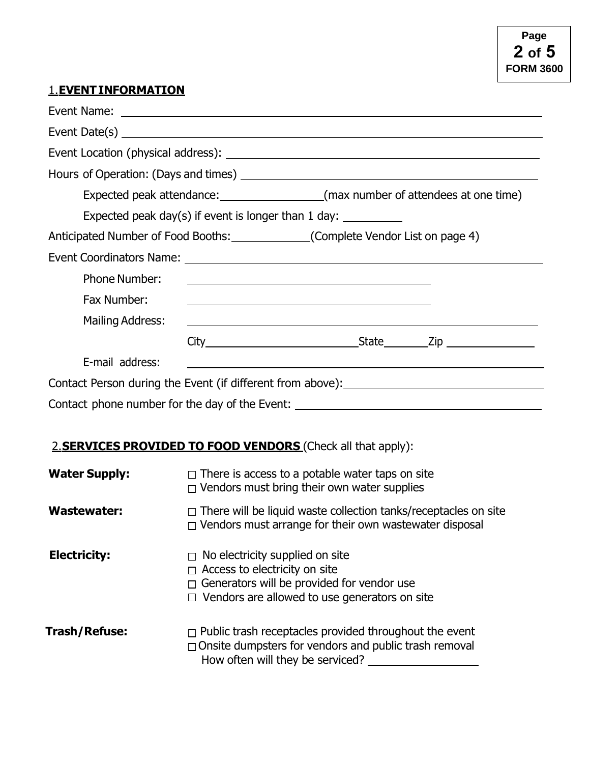#### **1. EVENT INFORMATION**

| Expected peak attendance: _____________________(max number of attendees at one time) |  |                                                                                                                      |  |
|--------------------------------------------------------------------------------------|--|----------------------------------------------------------------------------------------------------------------------|--|
|                                                                                      |  | Expected peak day(s) if event is longer than 1 day: ____________                                                     |  |
| Anticipated Number of Food Booths: ______________(Complete Vendor List on page 4)    |  |                                                                                                                      |  |
|                                                                                      |  |                                                                                                                      |  |
| <b>Phone Number:</b>                                                                 |  | <u> 1989 - Johann Barn, fransk politik fotograf (d. 1989)</u>                                                        |  |
| Fax Number:                                                                          |  | <u> 1990 - Johann Stoff, amerikansk politiker (d. 1980)</u>                                                          |  |
| Mailing Address:                                                                     |  | <u> 1989 - Johann John Stone, markin fan it ferstjer fan de ferstjer fan it ferstjer fan de ferstjer fan it fers</u> |  |
|                                                                                      |  |                                                                                                                      |  |
| E-mail address:                                                                      |  |                                                                                                                      |  |
|                                                                                      |  |                                                                                                                      |  |
| Contact phone number for the day of the Event: __________________________________    |  |                                                                                                                      |  |

## **2. SERVICES PROVIDED TO FOOD VENDORS** (Check all that apply):

| <b>Water Supply:</b> | $\Box$ There is access to a potable water taps on site<br>$\Box$ Vendors must bring their own water supplies                                                                                |
|----------------------|---------------------------------------------------------------------------------------------------------------------------------------------------------------------------------------------|
| <b>Wastewater:</b>   | $\Box$ There will be liquid waste collection tanks/receptacles on site<br>$\Box$ Vendors must arrange for their own wastewater disposal                                                     |
| <b>Electricity:</b>  | $\Box$ No electricity supplied on site<br>$\Box$ Access to electricity on site<br>$\Box$ Generators will be provided for vendor use<br>$\Box$ Vendors are allowed to use generators on site |
| Trash/Refuse:        | $\Box$ Public trash receptacles provided throughout the event<br>$\Box$ Onsite dumpsters for vendors and public trash removal<br>How often will they be serviced?                           |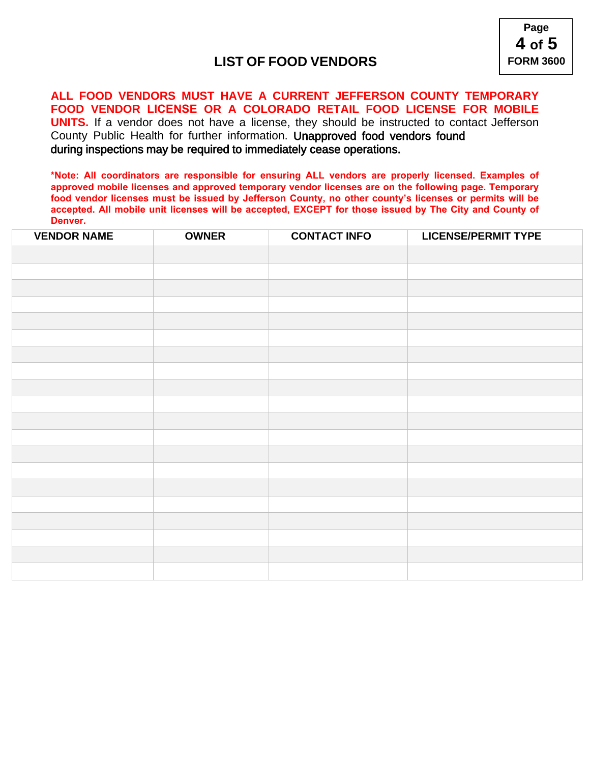



# **CERTIFICATE OF APPROVAL TO OPERATE A TEMPORARY/SPECIAL FOOD SERVICE EVENT - Instructions and Application Forms for Event Coordinators**

\*\*Incomplete applications or applications without payment will not be processed\*\*

- v If your event includes temporary food vendors (typically set up under a tent and do not have a food truck or mobile cart) a Certificate of Approval is required.
- v If your event has more than 2 mobile units/food trucks, a Certificate of Approval is required.
- v f your event is private (wedding or gala), a Certificate of Approval is not required.

#### **APPLICATION FEE: (payable to Jefferson County Treasurer)**

 $\Box$  Complete applications received by this office 30 days or more before the event date \$95,00 **O & RPSOHWH DSSOLFDWLRQV UHFHLYHG E\ WKLV RIILFH** GDIV

#### You must inform this office if food vendors are added after submission of this application

# FINAL list of vendors must be submitted to this office 7 days prior to your event

If you have any uestions, please contact us at: Public ealthTemporaryFoodservice or